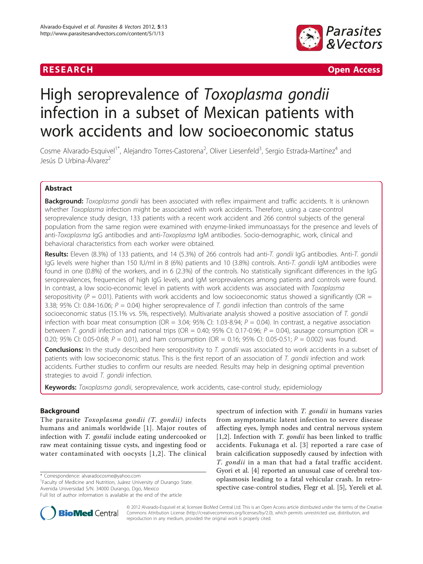

**RESEARCH Open Access** 

# High seroprevalence of Toxoplasma gondii infection in a subset of Mexican patients with work accidents and low socioeconomic status

Cosme Alvarado-Esquivel<sup>1\*</sup>, Alejandro Torres-Castorena<sup>2</sup>, Oliver Liesenfeld<sup>3</sup>, Sergio Estrada-Martínez<sup>4</sup> and Jesús D Urbina-Álvarez<sup>2</sup>

# Abstract

**Background:** Toxoplasma gondii has been associated with reflex impairment and traffic accidents. It is unknown whether Toxoplasma infection might be associated with work accidents. Therefore, using a case-control seroprevalence study design, 133 patients with a recent work accident and 266 control subjects of the general population from the same region were examined with enzyme-linked immunoassays for the presence and levels of anti-Toxoplasma IgG antibodies and anti-Toxoplasma IgM antibodies. Socio-demographic, work, clinical and behavioral characteristics from each worker were obtained.

Results: Eleven (8.3%) of 133 patients, and 14 (5.3%) of 266 controls had anti-T. gondii IgG antibodies. Anti-T. gondii IgG levels were higher than 150 IU/ml in 8 (6%) patients and 10 (3.8%) controls. Anti-T. gondii IgM antibodies were found in one (0.8%) of the workers, and in 6 (2.3%) of the controls. No statistically significant differences in the IgG seroprevalences, frequencies of high IgG levels, and IgM seroprevalences among patients and controls were found. In contrast, a low socio-economic level in patients with work accidents was associated with Toxoplasma seropositivity ( $P = 0.01$ ). Patients with work accidents and low socioeconomic status showed a significantly (OR = 3.38; 95% CI: 0.84-16.06;  $P = 0.04$ ) higher seroprevalence of T. gondii infection than controls of the same socioeconomic status (15.1% vs. 5%, respectively). Multivariate analysis showed a positive association of T. gondii infection with boar meat consumption (OR = 3.04; 95% CI: 1.03-8.94;  $P = 0.04$ ). In contrast, a negative association between T. gondii infection and national trips (OR = 0.40; 95% CI: 0.17-0.96;  $P = 0.04$ ), sausage consumption (OR = 0.20; 95% CI: 0.05-0.68;  $P = 0.01$ ), and ham consumption (OR = 0.16; 95% CI: 0.05-0.51;  $P = 0.002$ ) was found.

Conclusions: In the study described here seropositivity to T. gondii was associated to work accidents in a subset of patients with low socioeconomic status. This is the first report of an association of T. gondii infection and work accidents. Further studies to confirm our results are needed. Results may help in designing optimal prevention strategies to avoid T. gondii infection.

Keywords: Toxoplasma gondii, seroprevalence, work accidents, case-control study, epidemiology

# Background

The parasite Toxoplasma gondii (T. gondii) infects humans and animals worldwide [\[1\]](#page-4-0). Major routes of infection with T. gondii include eating undercooked or raw meat containing tissue cysts, and ingesting food or water contaminated with oocysts [[1](#page-4-0),[2](#page-4-0)]. The clinical

\* Correspondence: [alvaradocosme@yahoo.com](mailto:alvaradocosme@yahoo.com)

<sup>1</sup> Faculty of Medicine and Nutrition, Juárez University of Durango State. Avenida Universidad S/N. 34000 Durango, Dgo, Mexico Full list of author information is available at the end of the article

spectrum of infection with T. gondii in humans varies from asymptomatic latent infection to severe disease affecting eyes, lymph nodes and central nervous system [[1,2](#page-4-0)]. Infection with T. gondii has been linked to traffic accidents. Fukunaga et al. [[3](#page-4-0)] reported a rare case of brain calcification supposedly caused by infection with T. gondii in a man that had a fatal traffic accident. Gyori et al. [\[4](#page-4-0)] reported an unusual case of cerebral toxoplasmosis leading to a fatal vehicular crash. In retrospective case-control studies, Flegr et al. [[5\]](#page-5-0), Yereli et al.



© 2012 Alvarado-Esquivel et al; licensee BioMed Central Ltd. This is an Open Access article distributed under the terms of the Creative Commons Attribution License [\(http://creativecommons.org/licenses/by/2.0](http://creativecommons.org/licenses/by/2.0)), which permits unrestricted use, distribution, and reproduction in any medium, provided the original work is properly cited.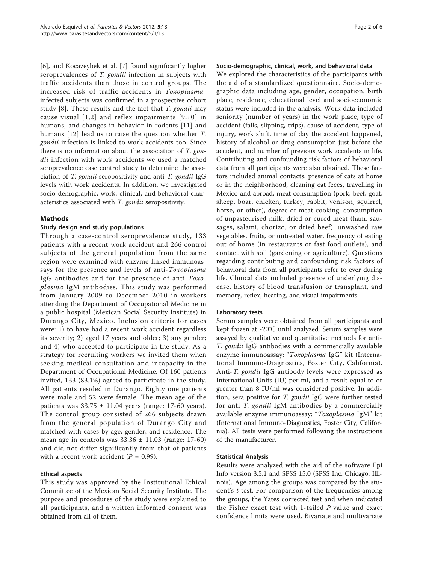[[6\]](#page-5-0), and Kocazeybek et al. [[7\]](#page-5-0) found significantly higher seroprevalences of T. gondii infection in subjects with traffic accidents than those in control groups. The increased risk of traffic accidents in Toxoplasmainfected subjects was confirmed in a prospective cohort study  $[8]$  $[8]$ . These results and the fact that T. gondii may cause visual [[1,2\]](#page-4-0) and reflex impairments [[9,10](#page-5-0)] in humans, and changes in behavior in rodents [[11](#page-5-0)] and humans [[12](#page-5-0)] lead us to raise the question whether T. gondii infection is linked to work accidents too. Since there is no information about the association of T. gondii infection with work accidents we used a matched seroprevalence case control study to determine the association of T. gondii seropositivity and anti-T. gondii IgG levels with work accidents. In addition, we investigated socio-demographic, work, clinical, and behavioral characteristics associated with T. gondii seropositivity.

# Methods

# Study design and study populations

Through a case-control seroprevalence study, 133 patients with a recent work accident and 266 control subjects of the general population from the same region were examined with enzyme-linked immunoassays for the presence and levels of anti-Toxoplasma IgG antibodies and for the presence of anti-Toxoplasma IgM antibodies. This study was performed from January 2009 to December 2010 in workers attending the Department of Occupational Medicine in a public hospital (Mexican Social Security Institute) in Durango City, Mexico. Inclusion criteria for cases were: 1) to have had a recent work accident regardless its severity; 2) aged 17 years and older; 3) any gender; and 4) who accepted to participate in the study. As a strategy for recruiting workers we invited them when seeking medical consultation and incapacity in the Department of Occupational Medicine. Of 160 patients invited, 133 (83.1%) agreed to participate in the study. All patients resided in Durango. Eighty one patients were male and 52 were female. The mean age of the patients was  $33.75 \pm 11.04$  years (range: 17-60 years). The control group consisted of 266 subjects drawn from the general population of Durango City and matched with cases by age, gender, and residence. The mean age in controls was  $33.36 \pm 11.03$  (range: 17-60) and did not differ significantly from that of patients with a recent work accident  $(P = 0.99)$ .

# Ethical aspects

This study was approved by the Institutional Ethical Committee of the Mexican Social Security Institute. The purpose and procedures of the study were explained to all participants, and a written informed consent was obtained from all of them.

#### Socio-demographic, clinical, work, and behavioral data

We explored the characteristics of the participants with the aid of a standardized questionnaire. Socio-demographic data including age, gender, occupation, birth place, residence, educational level and socioeconomic status were included in the analysis. Work data included seniority (number of years) in the work place, type of accident (falls, slipping, trips), cause of accident, type of injury, work shift, time of day the accident happened, history of alcohol or drug consumption just before the accident, and number of previous work accidents in life. Contributing and confounding risk factors of behavioral data from all participants were also obtained. These factors included animal contacts, presence of cats at home or in the neighborhood, cleaning cat feces, travelling in Mexico and abroad, meat consumption (pork, beef, goat, sheep, boar, chicken, turkey, rabbit, venison, squirrel, horse, or other), degree of meat cooking, consumption of unpasteurised milk, dried or cured meat (ham, sausages, salami, chorizo, or dried beef), unwashed raw vegetables, fruits, or untreated water, frequency of eating out of home (in restaurants or fast food outlets), and contact with soil (gardening or agriculture). Questions regarding contributing and confounding risk factors of behavioral data from all participants refer to ever during life. Clinical data included presence of underlying disease, history of blood transfusion or transplant, and memory, reflex, hearing, and visual impairments.

#### Laboratory tests

Serum samples were obtained from all participants and kept frozen at -20°C until analyzed. Serum samples were assayed by qualitative and quantitative methods for anti-T. gondii IgG antibodies with a commercially available enzyme immunoassay: "Toxoplasma IgG" kit (International Immuno-Diagnostics, Foster City, California). Anti-T. gondii IgG antibody levels were expressed as International Units (IU) per ml, and a result equal to or greater than 8 IU/ml was considered positive. In addition, sera positive for T. gondii IgG were further tested for anti-T. gondii IgM antibodies by a commercially available enzyme immunoassay: "Toxoplasma IgM" kit (International Immuno-Diagnostics, Foster City, California). All tests were performed following the instructions of the manufacturer.

#### Statistical Analysis

Results were analyzed with the aid of the software Epi Info version 3.5.1 and SPSS 15.0 (SPSS Inc. Chicago, Illinois). Age among the groups was compared by the student's t test. For comparison of the frequencies among the groups, the Yates corrected test and when indicated the Fisher exact test with 1-tailed  $P$  value and exact confidence limits were used. Bivariate and multivariate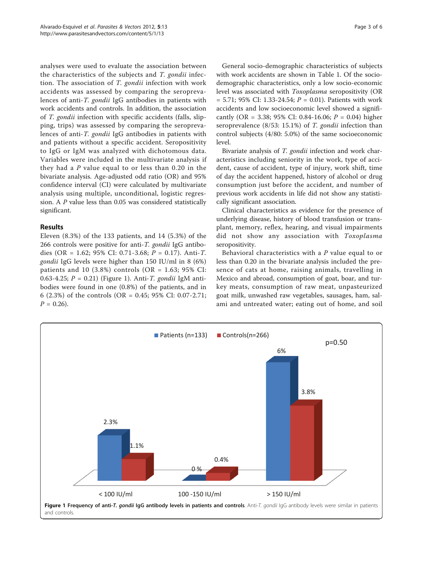analyses were used to evaluate the association between the characteristics of the subjects and T. gondii infection. The association of T. gondii infection with work accidents was assessed by comparing the seroprevalences of anti-T. gondii IgG antibodies in patients with work accidents and controls. In addition, the association of T. gondii infection with specific accidents (falls, slipping, trips) was assessed by comparing the seroprevalences of anti-T. gondii IgG antibodies in patients with and patients without a specific accident. Seropositivity to IgG or IgM was analyzed with dichotomous data. Variables were included in the multivariate analysis if they had a  $P$  value equal to or less than 0.20 in the bivariate analysis. Age-adjusted odd ratio (OR) and 95% confidence interval (CI) were calculated by multivariate analysis using multiple, unconditional, logistic regression. A P value less than 0.05 was considered statistically significant.

# Results

Eleven (8.3%) of the 133 patients, and 14 (5.3%) of the 266 controls were positive for anti-T. gondii IgG antibodies (OR = 1.62; 95% CI: 0.71-3.68;  $P = 0.17$ ). Anti-T. gondii IgG levels were higher than 150 IU/ml in 8 (6%) patients and 10 (3.8%) controls (OR = 1.63; 95% CI: 0.63-4.25;  $P = 0.21$ ) (Figure 1). Anti-*T. gondii* IgM antibodies were found in one (0.8%) of the patients, and in 6 (2.3%) of the controls (OR = 0.45; 95% CI: 0.07-2.71;  $P = 0.26$ .

General socio-demographic characteristics of subjects with work accidents are shown in Table [1.](#page-3-0) Of the sociodemographic characteristics, only a low socio-economic level was associated with Toxoplasma seropositivity (OR  $= 5.71$ ; 95% CI: 1.33-24.54;  $P = 0.01$ ). Patients with work accidents and low socioeconomic level showed a significantly (OR = 3.38; 95% CI: 0.84-16.06;  $P = 0.04$ ) higher seroprevalence (8/53: 15.1%) of T. gondii infection than control subjects (4/80: 5.0%) of the same socioeconomic level.

Bivariate analysis of *T. gondii* infection and work characteristics including seniority in the work, type of accident, cause of accident, type of injury, work shift, time of day the accident happened, history of alcohol or drug consumption just before the accident, and number of previous work accidents in life did not show any statistically significant association.

Clinical characteristics as evidence for the presence of underlying disease, history of blood transfusion or transplant, memory, reflex, hearing, and visual impairments did not show any association with Toxoplasma seropositivity.

Behavioral characteristics with a  $P$  value equal to or less than 0.20 in the bivariate analysis included the presence of cats at home, raising animals, travelling in Mexico and abroad, consumption of goat, boar, and turkey meats, consumption of raw meat, unpasteurized goat milk, unwashed raw vegetables, sausages, ham, salami and untreated water; eating out of home, and soil

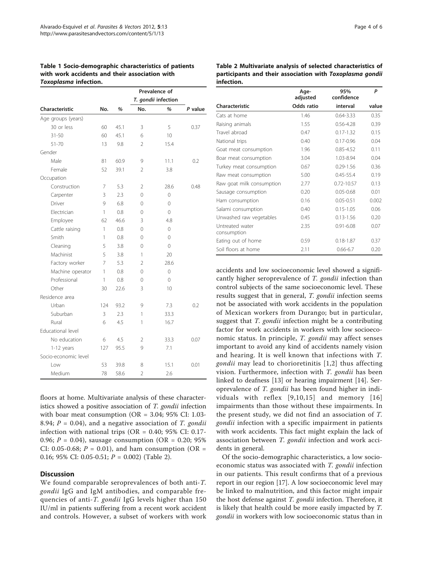<span id="page-3-0"></span>

| Table 1 Socio-demographic characteristics of patients |  |
|-------------------------------------------------------|--|
| with work accidents and their association with        |  |
| <b>Toxoplasma infection.</b>                          |  |

| <b>Characteristic</b> |     |      | T. gondii infection |                |         |
|-----------------------|-----|------|---------------------|----------------|---------|
|                       | No. | %    | No.                 | %              | P value |
| Age groups (years)    |     |      |                     |                |         |
| 30 or less            | 60  | 45.1 | 3                   | 5              | 0.37    |
| $31 - 50$             | 60  | 45.1 | 6                   | 10             |         |
| $51 - 70$             | 13  | 9.8  | $\overline{2}$      | 15.4           |         |
| Gender                |     |      |                     |                |         |
| Male                  | 81  | 60.9 | 9                   | 11.1           | 0.2     |
| Female                | 52  | 39.1 | $\mathfrak{D}$      | 3.8            |         |
| Occupation            |     |      |                     |                |         |
| Construction          | 7   | 5.3  | 2                   | 28.6           | 0.48    |
| Carpenter             | 3   | 2.3  | $\Omega$            | 0              |         |
| Driver                | 9   | 6.8  | 0                   | 0              |         |
| Electrician           | 1   | 0.8  | $\Omega$            | 0              |         |
| Employee              | 62  | 46.6 | 3                   | 4.8            |         |
| Cattle raising        | 1   | 0.8  | $\Omega$            | $\overline{O}$ |         |
| Smith                 | 1   | 0.8  | $\Omega$            | 0              |         |
| Cleaning              | 5   | 3.8  | 0                   | 0              |         |
| Machinist             | 5   | 3.8  | 1                   | 20             |         |
| Factory worker        | 7   | 5.3  | $\mathfrak{D}$      | 28.6           |         |
| Machine operator      | 1   | 0.8  | $\Omega$            | $\overline{O}$ |         |
| Professional          | 1   | 0.8  | 0                   | 0              |         |
| Other                 | 30  | 22.6 | 3                   | 10             |         |
| Residence area        |     |      |                     |                |         |
| Urban                 | 124 | 93.2 | 9                   | 7.3            | 0.2     |
| Suburban              | 3   | 2.3  | 1                   | 33.3           |         |
| Rural                 | 6   | 4.5  | 1                   | 16.7           |         |
| Educational level     |     |      |                     |                |         |
| No education          | 6   | 4.5  | 2                   | 33.3           | 0.07    |
| $1-12$ years          | 127 | 95.5 | 9                   | 7.1            |         |
| Socio-economic level  |     |      |                     |                |         |
| l ow                  | 53  | 39.8 | 8                   | 15.1           | 0.01    |
| Medium                | 78  | 58.6 | $\overline{2}$      | 2.6            |         |

floors at home. Multivariate analysis of these characteristics showed a positive association of T. gondii infection with boar meat consumption ( $OR = 3.04$ ; 95% CI: 1.03-8.94;  $P = 0.04$ ), and a negative association of T. gondii infection with national trips ( $OR = 0.40$ ; 95% CI: 0.17-0.96;  $P = 0.04$ ), sausage consumption (OR = 0.20; 95%) CI: 0.05-0.68;  $P = 0.01$ ), and ham consumption (OR = 0.16; 95% CI: 0.05-0.51;  $P = 0.002$ ) (Table 2).

#### **Discussion**

We found comparable seroprevalences of both anti-T. gondii IgG and IgM antibodies, and comparable frequencies of anti-T. gondii IgG levels higher than 150 IU/ml in patients suffering from a recent work accident and controls. However, a subset of workers with work Table 2 Multivariate analysis of selected characteristics of participants and their association with Toxoplasma gondii infection.

|                                | Age-<br>adjusted  | 95%<br>confidence | P     |  |
|--------------------------------|-------------------|-------------------|-------|--|
| Characteristic                 | <b>Odds</b> ratio | interval          | value |  |
| Cats at home                   | 1.46              | $0.64 - 3.33$     | 0.35  |  |
| Raising animals                | 1.55              | $0.56 - 4.28$     | 0.39  |  |
| Travel abroad                  | 0.47              | $0.17 - 1.32$     | 0.15  |  |
| National trips                 | 0.40              | $0.17 - 0.96$     | 0.04  |  |
| Goat meat consumption          | 1.96              | $0.85 - 4.52$     | 0.11  |  |
| Boar meat consumption          | 3.04              | 1.03-8.94         | 0.04  |  |
| Turkey meat consumption        | 0.67              | $0.29 - 1.56$     | 0.36  |  |
| Raw meat consumption           | 5.00              | $0.45 - 55.4$     | 0.19  |  |
| Raw goat milk consumption      | 2.77              | $0.72 - 10.57$    | 0.13  |  |
| Sausage consumption            | 0.20              | $0.05 - 0.68$     | 0.01  |  |
| Ham consumption                | 0.16              | $0.05 - 0.51$     | 0.002 |  |
| Salami consumption             | 0.40              | $0.15 - 1.05$     | 0.06  |  |
| Unwashed raw vegetables        | 0.45              | $0.13 - 1.56$     | 0.20  |  |
| Untreated water<br>consumption | 2.35              | $0.91 - 6.08$     | 0.07  |  |
| Eating out of home             | 0.59              | $0.18 - 1.87$     | 0.37  |  |
| Soil floors at home            | 2.11              | $0.66 - 6.7$      | 0.20  |  |

accidents and low socioeconomic level showed a significantly higher seroprevalence of T. gondii infection than control subjects of the same socioeconomic level. These results suggest that in general, T. gondii infection seems not be associated with work accidents in the population of Mexican workers from Durango; but in particular, suggest that *T. gondii* infection might be a contributing factor for work accidents in workers with low socioeconomic status. In principle, T. gondii may affect senses important to avoid any kind of accidents namely vision and hearing. It is well known that infections with T. gondii may lead to chorioretinitis [[1](#page-4-0),[2](#page-4-0)] thus affecting vision. Furthermore, infection with T. gondii has been linked to deafness [\[13\]](#page-5-0) or hearing impairment [\[14](#page-5-0)]. Seroprevalence of T. gondii has been found higher in individuals with reflex [[9](#page-5-0),[10](#page-5-0),[15\]](#page-5-0) and memory [[16](#page-5-0)] impairments than those without these impairments. In the present study, we did not find an association of T. gondii infection with a specific impairment in patients with work accidents. This fact might explain the lack of association between T. gondii infection and work accidents in general.

Of the socio-demographic characteristics, a low socioeconomic status was associated with T. gondii infection in our patients. This result confirms that of a previous report in our region [\[17\]](#page-5-0). A low socioeconomic level may be linked to malnutrition, and this factor might impair the host defense against T. gondii infection. Therefore, it is likely that health could be more easily impacted by T. gondii in workers with low socioeconomic status than in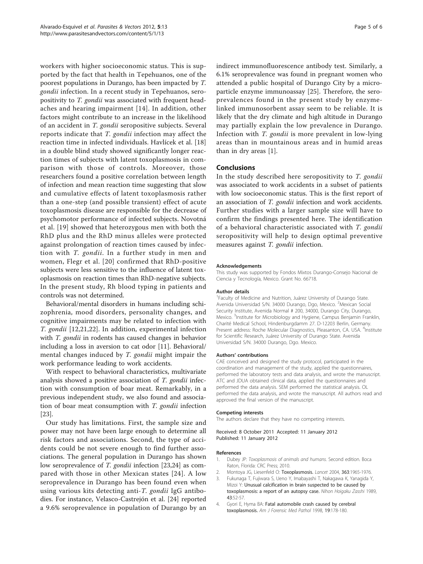<span id="page-4-0"></span>workers with higher socioeconomic status. This is supported by the fact that health in Tepehuanos, one of the poorest populations in Durango, has been impacted by T. gondii infection. In a recent study in Tepehuanos, seropositivity to T. gondii was associated with frequent headaches and hearing impairment [[14](#page-5-0)]. In addition, other factors might contribute to an increase in the likelihood of an accident in T. gondii seropositive subjects. Several reports indicate that T. gondii infection may affect the reaction time in infected individuals. Havlícek et al. [\[18](#page-5-0)] in a double blind study showed significantly longer reaction times of subjects with latent toxoplasmosis in comparison with those of controls. Moreover, those researchers found a positive correlation between length of infection and mean reaction time suggesting that slow and cumulative effects of latent toxoplasmosis rather than a one-step (and possible transient) effect of acute toxoplasmosis disease are responsible for the decrease of psychomotor performance of infected subjects. Novotná et al. [\[19](#page-5-0)] showed that heterozygous men with both the RhD plus and the RhD minus alleles were protected against prolongation of reaction times caused by infection with T. gondii. In a further study in men and women, Flegr et al. [[20](#page-5-0)] confirmed that RhD-positive subjects were less sensitive to the influence of latent toxoplasmosis on reaction times than RhD-negative subjects. In the present study, Rh blood typing in patients and controls was not determined.

Behavioral/mental disorders in humans including schizophrenia, mood disorders, personality changes, and cognitive impairments may be related to infection with T. gondii [[12,21,22](#page-5-0)]. In addition, experimental infection with *T. gondii* in rodents has caused changes in behavior including a loss in aversion to cat odor [[11\]](#page-5-0). Behavioral/ mental changes induced by T. gondii might impair the work performance leading to work accidents.

With respect to behavioral characteristics, multivariate analysis showed a positive association of T. gondii infection with consumption of boar meat. Remarkably, in a previous independent study, we also found and association of boar meat consumption with T. gondii infection [[23\]](#page-5-0).

Our study has limitations. First, the sample size and power may not have been large enough to determine all risk factors and associations. Second, the type of accidents could be not severe enough to find further associations. The general population in Durango has shown low seroprevalence of T. gondii infection [\[23,24\]](#page-5-0) as compared with those in other Mexican states [[24](#page-5-0)]. A low seroprevalence in Durango has been found even when using various kits detecting anti-T. gondii IgG antibodies. For instance, Velasco-Castrejón et al. [\[24\]](#page-5-0) reported a 9.6% seroprevalence in population of Durango by an indirect immunofluorescence antibody test. Similarly, a 6.1% seroprevalence was found in pregnant women who attended a public hospital of Durango City by a microparticle enzyme immunoassay [\[25](#page-5-0)]. Therefore, the seroprevalences found in the present study by enzymelinked immunosorbent assay seem to be reliable. It is likely that the dry climate and high altitude in Durango may partially explain the low prevalence in Durango. Infection with T. gondii is more prevalent in low-lying areas than in mountainous areas and in humid areas than in dry areas [1].

#### Conclusions

In the study described here seropositivity to T. gondii was associated to work accidents in a subset of patients with low socioeconomic status. This is the first report of an association of T. gondii infection and work accidents. Further studies with a larger sample size will have to confirm the findings presented here. The identification of a behavioral characteristic associated with T. gondii seropositivity will help to design optimal preventive measures against T. gondii infection.

#### Acknowledgements

This study was supported by Fondos Mixtos Durango-Consejo Nacional de Ciencia y Tecnología, Mexico. Grant No. 66718.

#### Author details

1 Faculty of Medicine and Nutrition, Juárez University of Durango State. Avenida Universidad S/N. 34000 Durango, Dgo, Mexico. <sup>2</sup>Mexican Social Security Institute, Avenida Normal # 200, 34000, Durango City, Durango, Mexico.<sup>3</sup>Institute for Microbiology and Hygiene, Campus Benjamin Franklin, Charité Medical School, Hindenburgdamm 27. D-12203 Berlin, Germany. Present address: Roche Molecular Diagnostics, Pleasanton, CA. USA. <sup>4</sup>Institute for Scientific Research, Juárez University of Durango State. Avenida Universidad S/N. 34000 Durango, Dgo. Mexico.

#### Authors' contributions

CAE conceived and designed the study protocol, participated in the coordination and management of the study, applied the questionnaires, performed the laboratory tests and data analysis, and wrote the manuscript. ATC and JDUA obtained clinical data, applied the questionnaires and performed the data analysis. SEM performed the statistical analysis. OL performed the data analysis, and wrote the manuscript. All authors read and approved the final version of the manuscript.

#### Competing interests

The authors declare that they have no competing interests.

Received: 8 October 2011 Accepted: 11 January 2012 Published: 11 January 2012

#### References

- 1. Dubey JP: Toxoplasmosis of animals and humans. Second edition. Boca Raton, Florida: CRC Press; 2010.
- 2. Montoya JG, Liesenfeld O: [Toxoplasmosis.](http://www.ncbi.nlm.nih.gov/pubmed/15194258?dopt=Abstract) Lancet 2004, 363:1965-1976.
- 3. Fukunaga T, Fujiwara S, Ueno Y, Imabayashi T, Nakagawa K, Yanagida Y, Mizoi Y: [Unusual calcification in brain suspected to be caused by](http://www.ncbi.nlm.nih.gov/pubmed/2770037?dopt=Abstract) [toxoplasmosis: a report of an autopsy case.](http://www.ncbi.nlm.nih.gov/pubmed/2770037?dopt=Abstract) Nihon Hoigaku Zasshi 1989, 43:52-57.
- 4. Gyori E, Hyma BA: [Fatal automobile crash caused by cerebral](http://www.ncbi.nlm.nih.gov/pubmed/9662117?dopt=Abstract) [toxoplasmosis.](http://www.ncbi.nlm.nih.gov/pubmed/9662117?dopt=Abstract) Am J Forensic Med Pathol 1998, 19:178-180.